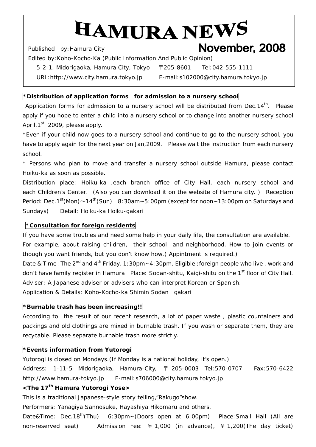# HAMURA NEWS November, 2008

Published by:*Hamura* City

Edited by:*Koho-Kocho-Ka* (Public Information And Public Opinion)

*5-2-1, Midorigaoka, Hamura City, Tokyo* 〒205-8601 Tel:042-555-1111

URL:http://www.city.hamura.tokyo.jp E-mail:s102000@city.hamura.tokyo.jp

## **\*Distribution of application forms for admission to a nursery school**

Application forms for admission to a nursery school will be distributed from Dec.14<sup>th</sup>. Please apply if you hope to enter a child into a nursery school or to change into another nursery school April.1<sup>st</sup> 2009, please apply.

\*Even if your child now goes to a nursery school and continue to go to the nursery school, you have to apply again for the next year on Jan,2009. Please wait the instruction from each nursery school.

\* Persons who plan to move and transfer a nursery school outside Hamura, please contact *Hoiku-ka* as soon as possible.

Distribution place: *Hoiku-ka* ,each branch office of City Hall, each nursery school and each Children's Center. (Also you can download it on the website of *Hamura* city. ) Reception Period: Dec.1st(Mon) $\sim$ 14<sup>th</sup>(Sun) 8:30am~5:00pm (except for noon~13:00pm on Saturdays and Sundays) Detail: *Hoiku-ka Hoiku-gakari* 

## **\*Consultation for foreign residents**

If you have some troubles and need some help in your daily life, the consultation are available.

For example, about raising children, their school and neighborhood. How to join events or though you want friends, but you don't know how.( Appintment is required.)

Date & Time : The 2<sup>nd</sup> and 4<sup>th</sup> Friday. 1:30pm~4:30pm. Eligible : foreign people who live, work and don't have family register in *Hamura* Place: *Sodan-shitu, Kaigi-shitu* on the 1st floor of City Hall. Adviser: A Japanese adviser or advisers who can interpret Korean or Spanish.

Application & Details: *Koho-Kocho-ka Shimin Sodan gakari* 

# **\*Burnable trash has been increasing!!**

According to the result of our recent research, a lot of paper waste , plastic countainers and packings and old clothings are mixed in burnable trash. If you wash or separate them, they are recycable. Please separate burnable trash more strictly.

## **\*Events information from** *Yutorogi*

*Yutorogi* is closed on Mondays. (If Monday is a national holiday, it's open.) Address: 1-11-5 Midorigaoka, Hamura-City, 〒 205-0003 Tel:570-0707 Fax:570-6422 http://www.hamura-tokyo.jp E-mail:s706000@city.hamura.tokyo.jp

# **<The 17th** *Hamura Yutorogi Yose***>**

This is a traditional Japanese-style story telling,"*Rakugo*"show.

Performers: *Yanagiya Sannosuke, Hayashiya Hikomaru* and others.

Date&Time: Dec.18<sup>th</sup>(Thu) 6:30pm~(Doors open at 6:00pm) Place:Small Hall (All are non-reserved seat) Admission Fee:  $\frac{1}{2}$  1,000 (in advance),  $\frac{1}{2}$  1,200(The day ticket)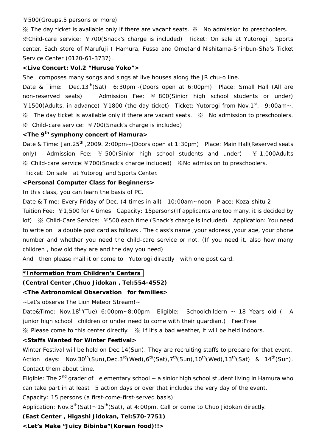#### ¥500(Groups,5 persons or more)

※ The day ticket is available only if there are vacant seats. ※ No admission to preschoolers. ※Child-care service: ¥700(Snack's charge is included) Ticket: On sale at *Yutorogi ,* Sports center, Each store of *Marufuji* ( *Hamura*, *Fussa* and *Ome*)and *Nishitama-Shinbun-Sha's* Ticket Service Center (0120-61-3737).

#### **<Live Concert: Vol.2 "***Huruse Yoko***">**

She composes many songs and sings at live houses along the JR chu-o line.

Date & Time: Dec.13<sup>th</sup>(Sat) 6:30pm~(Doors open at 6:00pm) Place: Small Hall (All are non-reserved seats) Admission Fee: ¥ 800(Sinior high school students or under) ¥1500(Adults, in advance) ¥1800 (the day ticket) Ticket: *Yutorogi* from Nov.1st, 9:00am~. ※ The day ticket is available only if there are vacant seats. ※ No admission to preschoolers. ※ Child-care service: ¥700(Snack's charge is included)

## **<The 9th symphony concert of** *Hamura***>**

Date & Time: Jan.25<sup>th</sup> ,2009. 2:00pm~(Doors open at 1:30pm) Place: Main Hall(Reserved seats only) Admission Fee:  $\frac{1}{2}$  500(Sinior high school students and under)  $\frac{1}{2}$  1,000Adults ※ Child-care service:¥700(Snack's charge included) ※No admission to preschoolers.

Ticket: On sale at *Yutorogi* and Sports Center.

## **<Personal Computer Class for Beginners>**

In this class, you can learn the basis of PC.

Date & Time: Every Friday of Dec. (4 times in all) 10:00am~noon Place: Koza-shitu 2 Tuition Fee: ¥1,500 for 4 times Capacity: 15persons(If applicants are too many, it is decided by lot) ※ Child-Care Service: ¥500 each time (Snack's charge is included) Application: You need to write on a double post card as follows . The class's name ,your address ,your age, your phone number and whether you need the child-care service or not. (If you need it, also how many children , how old they are and the day you need)

And then please mail it or come to *Yutorogi* directly with one post card.

## **\*Information from Children's Centers**

## **(Central Center ,***Chuo Jidokan* **, Tel:554-4552)**

## **<The Astronomical Observation for families>**

~Let's observe The Lion Meteor Stream!~

Date&Time: Nov.18<sup>th</sup>(Tue) 6:00pm~8:00pm Eligible: Schoolchildern ~ 18 Years old ( A junior high school children or under need to come with their guardian.) Fee: Free ※ Please come to this center directly. ※ If it's a bad weather, it will be held indoors.

## **<Staffs Wanted for Winter Festival>**

Winter Festival will be held on Dec.14(Sun). They are recruiting staffs to prepare for that event. Action days: Nov.30<sup>th</sup>(Sun),Dec.3<sup>rd</sup>(Wed),6<sup>th</sup>(Sat),7<sup>th</sup>(Sun),10<sup>th</sup>(Wed),13<sup>th</sup>(Sat) & 14<sup>th</sup>(Sun). Contact them about time.

Eligible: The 2<sup>nd</sup> grader of elementary school ~ a sinior high school student living in *Hamura* who can take part in at least 5 action days or over that includes the very day of the event. Capacity: 15 persons (a first-come-first-served basis)

Application: Nov.8<sup>th</sup>(Sat)~15<sup>th</sup>(Sat), at 4:00pm. Call or come to *Chuo Jidokan* directly.

# **(East Center ,** *Higashi Jidokan***, Tel:570-7751)**

**<Let's Make "Juicy Bibinba"(Korean food)!!>**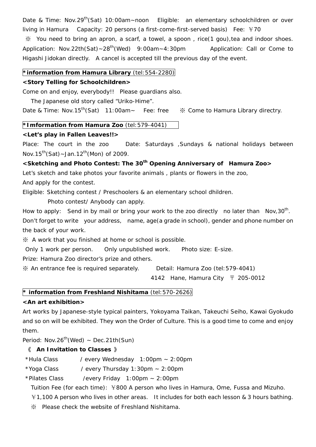Date & Time: Nov.29<sup>th</sup>(Sat) 10:00am~noon Eligible: an elementary schoolchildren or over living in Hamura Capacity: 20 persons (a first-come-first-served basis) Fee: ¥70 ※ You need to bring an apron, a scarf, a towel, a spoon , rice(1 *gou*),tea and indoor shoes. Application: Nov.22th(Sat)~28<sup>th</sup>(Wed) 9:00am~4:30pm Application: Call or Come to *Higashi Jidokan* directly. A cancel is accepted till the previous day of the event.

#### **\*information from** *Hamura Library* (tel:554-2280)

#### **<Story Telling for Schoolchildren>**

Come on and enjoy, everybody!! Please guardians also.

The Japanese old story called "*Uriko-Hime".* 

Date & Time: Nov.15th(Sat) 11:00am~ Fee: free ※ Come to *Hamura Library* directry.

#### **\*Imformation from** *Hamura Zoo* (tel:579-4041)

#### **<Let's play in Fallen Leaves!!>**

Place: The court in the zoo Date: Saturdays , Sundays & national holidays between Nov.15<sup>th</sup>(Sat)~Jan.12<sup>th</sup>(Mon) of 2009.

<Sketching and Photo Contest: The 30<sup>th</sup> Opening Anniversary of *Hamura Zoo*>

Let's sketch and take photos your favorite animals , plants or flowers in the zoo,

And apply for the contest.

Eligible: Sketching contest / Preschoolers & an elementary school dhildren.

Photo contest/ Anybody can apply.

How to apply: Send in by mail or bring your work to the zoo directly no later than  $Nov, 30^{\circ}$ . Don't forget to write your address, name, age(a grade in school), gender and phone number on the back of your work.

※ A work that you finished at home or school is possible.

Only 1 work per person. Only unpublished work. Photo size: E-size.

Prize: *Hamura Zoo* director's prize and others.

※ An entrance fee is required separately. Detail: *Hamura Zoo* (tel:579-4041)

4142 *Hane, Hamura City* 〒 205-0012

## **\* information from Freshland** *Nishitama* (tel:570-2626)

## **<An art exhibition>**

Art works by Japanese-style typical painters, *Yokoyama Taikan, Takeuchi Seiho, Kawai Gyokudo* and so on will be exhibited. They won the Order of Culture. This is a good time to come and enjoy them.

Period: Nov.26<sup>th</sup>(Wed) ~ Dec.21th(Sun)

## 《 **An Invitation to Classes** 》

\*Hula Class / every Wednesday 1:00pm ~ 2:00pm

 $*$ Yoga Class / every Thursday 1:30pm  $\sim$  2:00pm

\*Pilates Class /every Friday 1:00pm ~ 2:00pm

Tuition Fee (for each time): ¥800 A person who lives in Hamura, Ome, Fussa and Mizuho.

¥1,100 A person who lives in other areas. It includes for both each lesson & 3 hours bathing.

※ Please check the website of Freshland *Nishitama.*